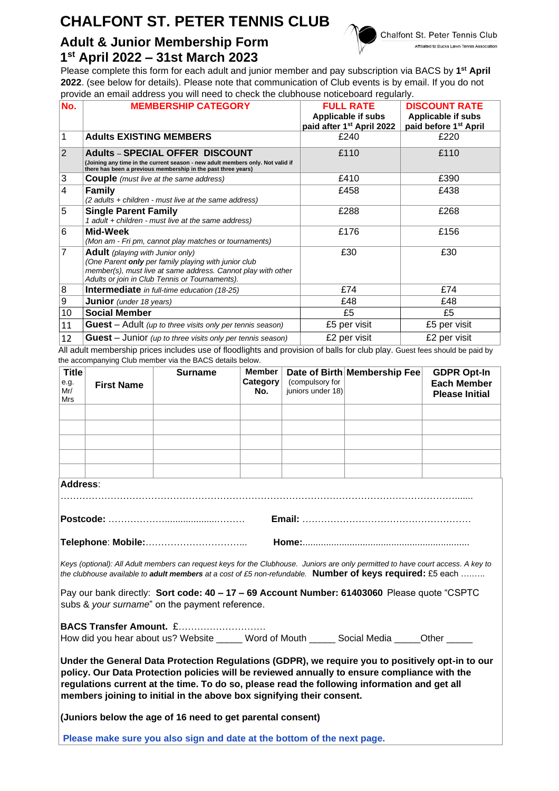# **CHALFONT ST. PETER TENNIS CLUB**

## **Adult & Junior Membership Form 1 st April 2022 – 31st March 2023**

Chalfont St. Peter Tennis Club Affiliated to Bucks Lawn Tennis Association

### Please complete this form for each adult and junior member and pay subscription via BACS by **1 st April 2022**. (see below for details). Please note that communication of Club events is by email. If you do not provide an email address you will need to check the clubhouse noticeboard regularly.

| No.              | <b>MEMBERSHIP CATEGORY</b>                                                                                                                                                                                        | <b>FULL RATE</b><br>Applicable if subs<br>paid after 1 <sup>st</sup> April 2022 | <b>DISCOUNT RATE</b><br>Applicable if subs<br>paid before 1 <sup>st</sup> April |
|------------------|-------------------------------------------------------------------------------------------------------------------------------------------------------------------------------------------------------------------|---------------------------------------------------------------------------------|---------------------------------------------------------------------------------|
| 1                | <b>Adults EXISTING MEMBERS</b>                                                                                                                                                                                    | £240                                                                            | £220                                                                            |
| $\overline{2}$   | <b>Adults - SPECIAL OFFER DISCOUNT</b><br>(Joining any time in the current season - new adult members only. Not valid if<br>there has been a previous membership in the past three years)                         | £110                                                                            | £110                                                                            |
| 3                | <b>Couple</b> (must live at the same address)                                                                                                                                                                     | £410                                                                            | £390                                                                            |
| 4                | <b>Family</b><br>(2 adults + children - must live at the same address)                                                                                                                                            | £458                                                                            | £438                                                                            |
| 5                | <b>Single Parent Family</b><br>1 adult + children - must live at the same address)                                                                                                                                | £288                                                                            | £268                                                                            |
| 6                | Mid-Week<br>(Mon am - Fri pm, cannot play matches or tournaments)                                                                                                                                                 | £176                                                                            | £156                                                                            |
| $\overline{7}$   | <b>Adult</b> (playing with Junior only)<br>(One Parent only per family playing with junior club<br>member(s), must live at same address. Cannot play with other<br>Adults or join in Club Tennis or Tournaments). | £30                                                                             | £30                                                                             |
| 8                | <b>Intermediate</b> in full-time education (18-25)                                                                                                                                                                | £74                                                                             | £74                                                                             |
| $\boldsymbol{9}$ | <b>Junior</b> (under 18 years)                                                                                                                                                                                    | £48                                                                             | £48                                                                             |
| 10               | <b>Social Member</b>                                                                                                                                                                                              | £5                                                                              | £5                                                                              |
| 11               | <b>Guest</b> – Adult (up to three visits only per tennis season)                                                                                                                                                  | £5 per visit                                                                    | £5 per visit                                                                    |
| 12               | <b>Guest</b> – Junior (up to three visits only per tennis season)                                                                                                                                                 | £2 per visit                                                                    | £2 per visit                                                                    |

All adult membership prices includes use of floodlights and provision of balls for club play. Guest fees should be paid by the accompanying Club member via the BACS details below.

| <b>Title</b><br>e.g.<br>Mr/<br>Mrs                                                                                                                                                                                                                                                                                                                                        | <b>First Name</b> | <b>Surname</b> | <b>Member</b><br>Category<br>No. | (compulsory for<br>juniors under 18) | Date of Birth Membership Fee | <b>GDPR Opt-In</b><br><b>Each Member</b><br><b>Please Initial</b> |  |  |  |
|---------------------------------------------------------------------------------------------------------------------------------------------------------------------------------------------------------------------------------------------------------------------------------------------------------------------------------------------------------------------------|-------------------|----------------|----------------------------------|--------------------------------------|------------------------------|-------------------------------------------------------------------|--|--|--|
|                                                                                                                                                                                                                                                                                                                                                                           |                   |                |                                  |                                      |                              |                                                                   |  |  |  |
|                                                                                                                                                                                                                                                                                                                                                                           |                   |                |                                  |                                      |                              |                                                                   |  |  |  |
|                                                                                                                                                                                                                                                                                                                                                                           |                   |                |                                  |                                      |                              |                                                                   |  |  |  |
|                                                                                                                                                                                                                                                                                                                                                                           |                   |                |                                  |                                      |                              |                                                                   |  |  |  |
| Address:                                                                                                                                                                                                                                                                                                                                                                  |                   |                |                                  |                                      |                              |                                                                   |  |  |  |
|                                                                                                                                                                                                                                                                                                                                                                           |                   |                |                                  |                                      |                              |                                                                   |  |  |  |
|                                                                                                                                                                                                                                                                                                                                                                           |                   |                |                                  |                                      |                              |                                                                   |  |  |  |
| Telephone: Mobile:                                                                                                                                                                                                                                                                                                                                                        |                   |                |                                  |                                      |                              |                                                                   |  |  |  |
| Keys (optional): All Adult members can request keys for the Clubhouse. Juniors are only permitted to have court access. A key to<br>the clubhouse available to adult members at a cost of £5 non-refundable. Number of keys required: £5 each                                                                                                                             |                   |                |                                  |                                      |                              |                                                                   |  |  |  |
| Pay our bank directly: Sort code: 40 - 17 - 69 Account Number: 61403060 Please quote "CSPTC<br>subs & your surname" on the payment reference.                                                                                                                                                                                                                             |                   |                |                                  |                                      |                              |                                                                   |  |  |  |
| BACS Transfer Amount. £<br>How did you hear about us? Website _____ Word of Mouth _____ Social Media _____Other _____                                                                                                                                                                                                                                                     |                   |                |                                  |                                      |                              |                                                                   |  |  |  |
| Under the General Data Protection Regulations (GDPR), we require you to positively opt-in to our<br>policy. Our Data Protection policies will be reviewed annually to ensure compliance with the<br>regulations current at the time. To do so, please read the following information and get all<br>members joining to initial in the above box signifying their consent. |                   |                |                                  |                                      |                              |                                                                   |  |  |  |
| (Juniors below the age of 16 need to get parental consent)                                                                                                                                                                                                                                                                                                                |                   |                |                                  |                                      |                              |                                                                   |  |  |  |
| Please make sure you also sign and date at the bottom of the next page.                                                                                                                                                                                                                                                                                                   |                   |                |                                  |                                      |                              |                                                                   |  |  |  |